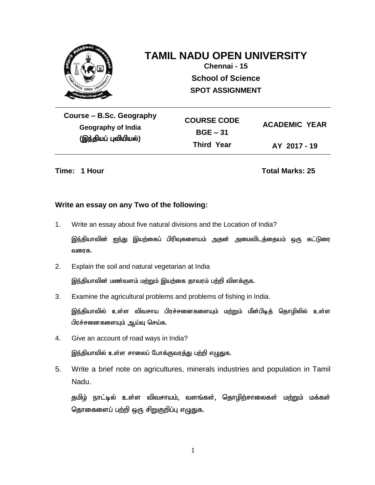

## **TAMIL NADU OPEN UNIVERSITY**

**Chennai - 15 School of Science SPOT ASSIGNMENT**

**Course – B.Sc. Geography Geography of India** (இந்தியப் புவியியல்)

**COURSE CODE BGE – 31 Third Year ACADEMIC YEAR AY 2017 - 19**

**Time: 1 Hour Total Marks: 25**

#### **Write an essay on any Two of the following:**

1. Write an essay about five natural divisions and the Location of India?

இந்தியாவின் <u>ஐந்து</u> இயற்கைப் பிரிவுகளையம் அதன் அமைவிடத்தையம் ஒரு கட்டுரை வரைக.

2. Explain the soil and natural vegetarian at India

இந்தியாவின் மண்வளம் மற்றும் இயற்கை தாவரம் பற்றி விளக்குக.

3. Examine the agricultural problems and problems of fishing in India.

இந்தியாவில் உள்ள விவசாய பிரச்சனைகளையும் மற்றும் மீன்பிடித் தொழிலில் உள்ள பிரச்சனைகளையும் ஆய்வு செய்க.

4. Give an account of road ways in India?

இந்தியாவில் உள்ள சாலைப் போக்குவரத்து பற்றி எழுதுக.

5. Write a brief note on agricultures, minerals industries and population in Tamil Nadu.

தமிழ் நாட்டில் உள்ள விவசாயம், வளங்கள், தொழிற்சாலைகள் மற்றும் மக்கள் தொகைளைப் பற்றி ஒரு சிறுகுறிப்பு எழுதுக.

1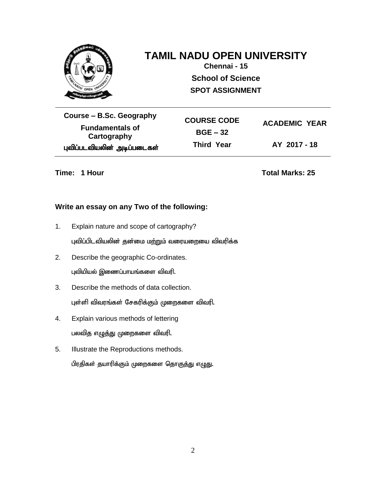

## **TAMIL NADU OPEN UNIVERSITY**

**Chennai - 15 School of Science SPOT ASSIGNMENT**

**Course – B.Sc. Geography Fundamentals of Cartography** புவிப்படவியலின் அடிப்படைகள் **COURSE CODE BGE – 32 Third Year ACADEMIC YEAR AY 2017 - 18**

**Time: 1 Hour Total Marks: 25** 

### **Write an essay on any Two of the following:**

1. Explain nature and scope of cartography?

புவிப்பிடவியலின் தன்மை மற்றும் வரையறையை விவரிக்க

- 2. Describe the geographic Co-ordinates. புவியியல் இணைப்பாயங்களை விவரி.
- 3. Describe the methods of data collection. புள்ளி விவரங்கள் சேகரிக்கும் முறைகளை விவரி.
- 4. Explain various methods of lettering பலவித எழுத்து முறைகளை விவரி.
- 5. Illustrate the Reproductions methods. பிரதிகள் தயாரிக்கும் முறைகளை தொகுத்து எழுது.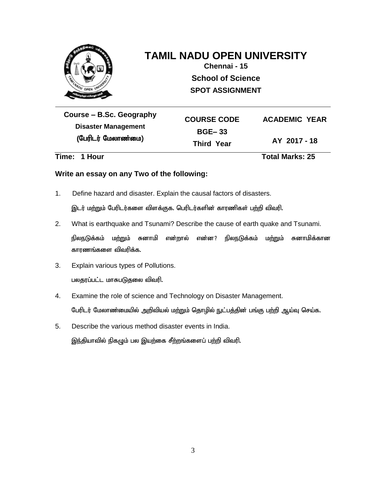

# **TAMIL NADU OPEN UNIVERSITY**

**Chennai - 15 School of Science SPOT ASSIGNMENT**

**Course – B.Sc. Geography Disaster Management** (பேரிடர் மேலாண்மை)

**COURSE CODE BGE– 33 Third Year ACADEMIC YEAR AY 2017 - 18**

**Time: 1 Hour Total Marks: 25**

### **Write an essay on any Two of the following:**

1. Define hazard and disaster. Explain the causal factors of disasters.

இடர் மற்றும் பேரிடர்களை விளக்குக. பெரிடர்களின் காரணிகள் பற்றி விவரி.

- 2. What is earthquake and Tsunami? Describe the cause of earth quake and Tsunami. நிலநடுக்கம் ம<u>ற்று</u>ம் சுனாமி என்றால் என்ன? நிலநடுக்கம் மற்றும் சுனாமிக்கான காரணங்களை விவரிக்க.
- 3. Explain various types of Pollutions. பலதரப்பட்ட மாசுபடுதலை விவரி.
- 4. Examine the role of science and Technology on Disaster Management. பேரிடர் மேலாண்மையில் அறிவியல் மற்றும் தொழில் நுட்பத்தின் பங்கு பற்றி ஆய்வு செய்க.
- 5. Describe the various method disaster events in India. இந்தியாவில் நிகழும் பல இயற்கை சீற்றங்களைப் பற்றி விவரி.